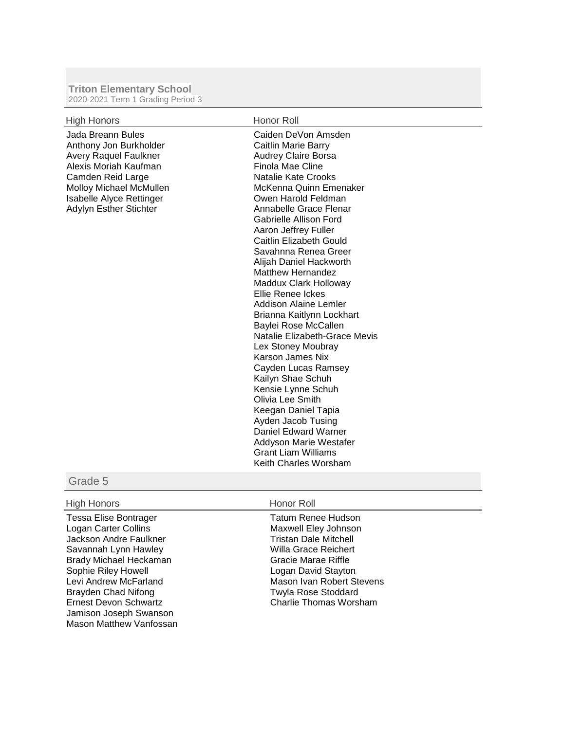## **Triton Elementary School** 2020-2021 Term 1 Grading Period 3

| <b>High Honors</b>                                                                                                                                                                                                | Honor Roll                                                                                                                                                                                                                                                                                                                                                                                                                                                                                                                                                                                                                                                                                                                                                                                                    |
|-------------------------------------------------------------------------------------------------------------------------------------------------------------------------------------------------------------------|---------------------------------------------------------------------------------------------------------------------------------------------------------------------------------------------------------------------------------------------------------------------------------------------------------------------------------------------------------------------------------------------------------------------------------------------------------------------------------------------------------------------------------------------------------------------------------------------------------------------------------------------------------------------------------------------------------------------------------------------------------------------------------------------------------------|
| Jada Breann Bules<br>Anthony Jon Burkholder<br><b>Avery Raquel Faulkner</b><br>Alexis Moriah Kaufman<br>Camden Reid Large<br>Molloy Michael McMullen<br><b>Isabelle Alyce Rettinger</b><br>Adylyn Esther Stichter | Caiden DeVon Amsden<br>Caitlin Marie Barry<br><b>Audrey Claire Borsa</b><br>Finola Mae Cline<br>Natalie Kate Crooks<br>McKenna Quinn Emenaker<br>Owen Harold Feldman<br>Annabelle Grace Flenar<br>Gabrielle Allison Ford<br>Aaron Jeffrey Fuller<br>Caitlin Elizabeth Gould<br>Savahnna Renea Greer<br>Alijah Daniel Hackworth<br><b>Matthew Hernandez</b><br>Maddux Clark Holloway<br>Ellie Renee Ickes<br>Addison Alaine Lemler<br>Brianna Kaitlynn Lockhart<br>Baylei Rose McCallen<br>Natalie Elizabeth-Grace Mevis<br>Lex Stoney Moubray<br>Karson James Nix<br>Cayden Lucas Ramsey<br>Kailyn Shae Schuh<br>Kensie Lynne Schuh<br>Olivia Lee Smith<br>Keegan Daniel Tapia<br>Ayden Jacob Tusing<br>Daniel Edward Warner<br>Addyson Marie Westafer<br><b>Grant Liam Williams</b><br>Keith Charles Worsham |

## Grade 5

## High Honors **Honor Roll**

Tessa Elise Bontrager Logan Carter Collins Jackson Andre Faulkner Savannah Lynn Hawley Brady Michael Heckaman Sophie Riley Howell Levi Andrew McFarland Brayden Chad Nifong Ernest Devon Schwartz Jamison Joseph Swanson Mason Matthew Vanfossan

Tatum Renee Hudson Maxwell Eley Johnson Tristan Dale Mitchell Willa Grace Reichert Gracie Marae Riffle Logan David Stayton Mason Ivan Robert Stevens Twyla Rose Stoddard Charlie Thomas Worsham